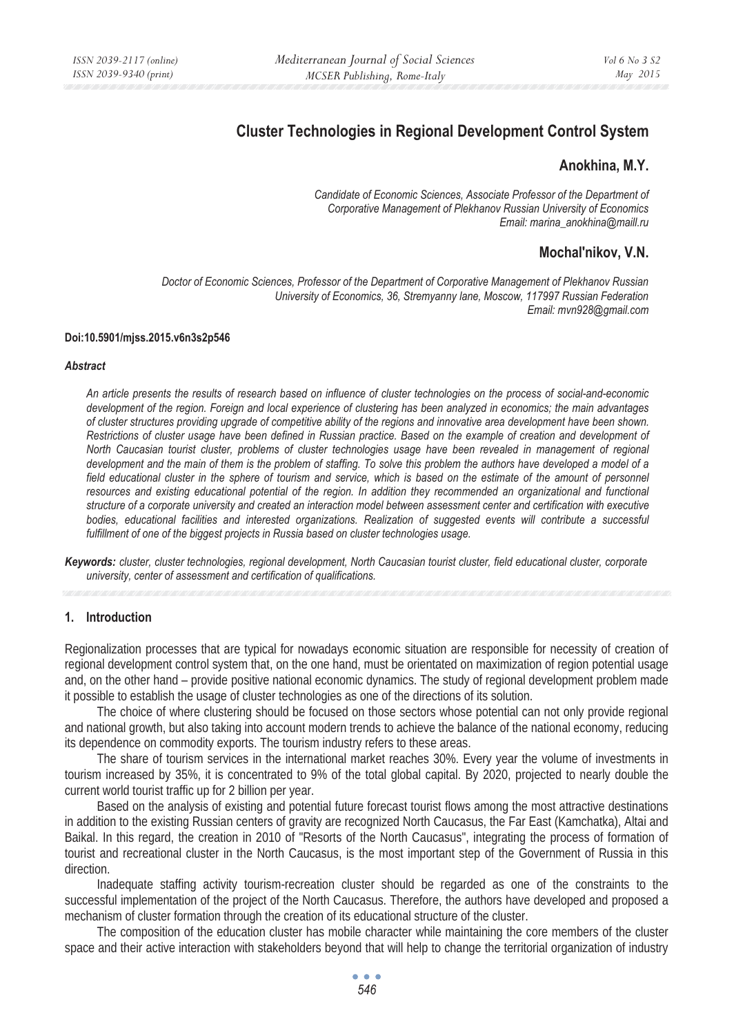# **Cluster Technologies in Regional Development Control System**

## **Anokhina, M.Y.**

*Candidate of Economic Sciences, Associate Professor of the Department of Corporative Management of Plekhanov Russian University of Economics Email: marina\_anokhina@maill.ru* 

# **Mochal'nikov, V.N.**

*Doctor of Economic Sciences, Professor of the Department of Corporative Management of Plekhanov Russian University of Economics, 36, Stremyanny lane, Moscow, 117997 Russian Federation Email: mvn928@gmail.com* 

#### **Doi:10.5901/mjss.2015.v6n3s2p546**

#### *Abstract*

*An article presents the results of research based on influence of cluster technologies on the process of social-and-economic development of the region. Foreign and local experience of clustering has been analyzed in economics; the main advantages of cluster structures providing upgrade of competitive ability of the regions and innovative area development have been shown. Restrictions of cluster usage have been defined in Russian practice. Based on the example of creation and development of North Caucasian tourist cluster, problems of cluster technologies usage have been revealed in management of regional* development and the main of them is the problem of staffing. To solve this problem the authors have developed a model of a *field educational cluster in the sphere of tourism and service, which is based on the estimate of the amount of personnel* resources and existing educational potential of the region. In addition they recommended an organizational and functional *structure of a corporate university and created an interaction model between assessment center and certification with executive* bodies, educational facilities and interested organizations. Realization of suggested events will contribute a successful *fulfillment of one of the biggest projects in Russia based on cluster technologies usage.* 

*Keywords: cluster, cluster technologies, regional development, North Caucasian tourist cluster, field educational cluster, corporate university, center of assessment and certification of qualifications.* 

#### **1. Introduction**

Regionalization processes that are typical for nowadays economic situation are responsible for necessity of creation of regional development control system that, on the one hand, must be orientated on maximization of region potential usage and, on the other hand – provide positive national economic dynamics. The study of regional development problem made it possible to establish the usage of cluster technologies as one of the directions of its solution.

The choice of where clustering should be focused on those sectors whose potential can not only provide regional and national growth, but also taking into account modern trends to achieve the balance of the national economy, reducing its dependence on commodity exports. The tourism industry refers to these areas.

The share of tourism services in the international market reaches 30%. Every year the volume of investments in tourism increased by 35%, it is concentrated to 9% of the total global capital. By 2020, projected to nearly double the current world tourist traffic up for 2 billion per year.

Based on the analysis of existing and potential future forecast tourist flows among the most attractive destinations in addition to the existing Russian centers of gravity are recognized North Caucasus, the Far East (Kamchatka), Altai and Baikal. In this regard, the creation in 2010 of "Resorts of the North Caucasus", integrating the process of formation of tourist and recreational cluster in the North Caucasus, is the most important step of the Government of Russia in this direction.

Inadequate staffing activity tourism-recreation cluster should be regarded as one of the constraints to the successful implementation of the project of the North Caucasus. Therefore, the authors have developed and proposed a mechanism of cluster formation through the creation of its educational structure of the cluster.

The composition of the education cluster has mobile character while maintaining the core members of the cluster space and their active interaction with stakeholders beyond that will help to change the territorial organization of industry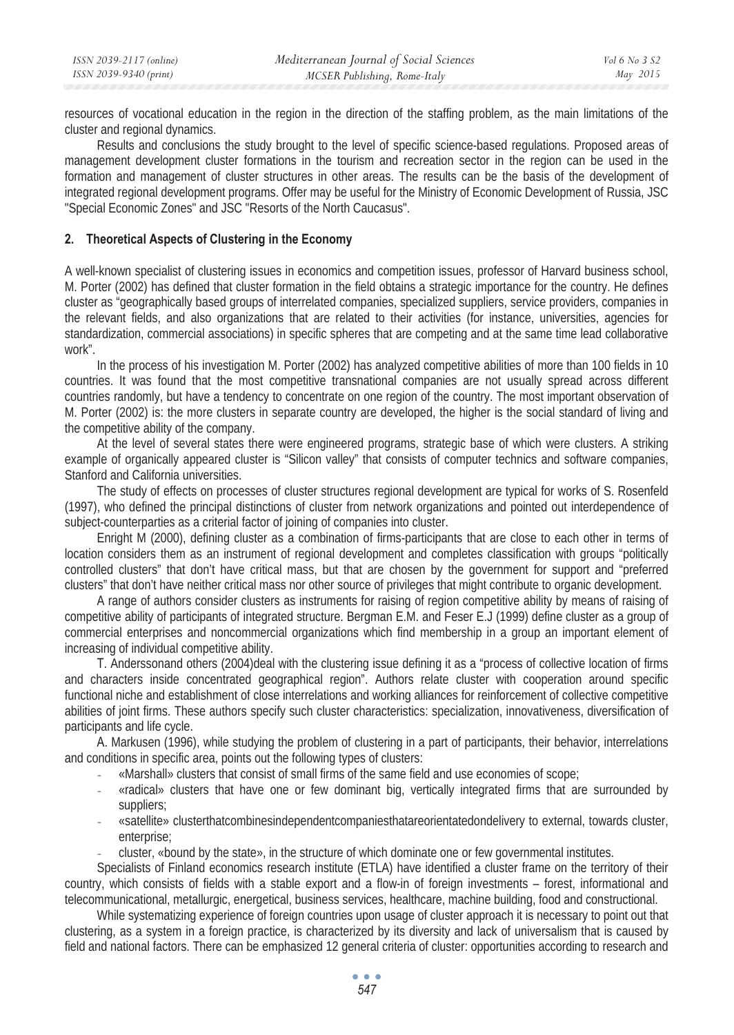resources of vocational education in the region in the direction of the staffing problem, as the main limitations of the cluster and regional dynamics.

Results and conclusions the study brought to the level of specific science-based regulations. Proposed areas of management development cluster formations in the tourism and recreation sector in the region can be used in the formation and management of cluster structures in other areas. The results can be the basis of the development of integrated regional development programs. Offer may be useful for the Ministry of Economic Development of Russia, JSC "Special Economic Zones" and JSC "Resorts of the North Caucasus".

#### **2. Theoretical Aspects of Clustering in the Economy**

A well-known specialist of clustering issues in economics and competition issues, professor of Harvard business school, M. Porter (2002) has defined that cluster formation in the field obtains a strategic importance for the country. He defines cluster as "geographically based groups of interrelated companies, specialized suppliers, service providers, companies in the relevant fields, and also organizations that are related to their activities (for instance, universities, agencies for standardization, commercial associations) in specific spheres that are competing and at the same time lead collaborative work".

In the process of his investigation M. Porter (2002) has analyzed competitive abilities of more than 100 fields in 10 countries. It was found that the most competitive transnational companies are not usually spread across different countries randomly, but have a tendency to concentrate on one region of the country. The most important observation of M. Porter (2002) is: the more clusters in separate country are developed, the higher is the social standard of living and the competitive ability of the company.

At the level of several states there were engineered programs, strategic base of which were clusters. A striking example of organically appeared cluster is "Silicon valley" that consists of computer technics and software companies, Stanford and California universities.

The study of effects on processes of cluster structures regional development are typical for works of S. Rosenfeld (1997), who defined the principal distinctions of cluster from network organizations and pointed out interdependence of subject-counterparties as a criterial factor of joining of companies into cluster.

Enright M (2000), defining cluster as a combination of firms-participants that are close to each other in terms of location considers them as an instrument of regional development and completes classification with groups "politically controlled clusters" that don't have critical mass, but that are chosen by the government for support and "preferred clusters" that don't have neither critical mass nor other source of privileges that might contribute to organic development.

A range of authors consider clusters as instruments for raising of region competitive ability by means of raising of competitive ability of participants of integrated structure. Bergman E.M. and Feser E.J (1999) define cluster as a group of commercial enterprises and noncommercial organizations which find membership in a group an important element of increasing of individual competitive ability.

Ɍ. Anderssonand others (2004)deal with the clustering issue defining it as a "process of collective location of firms and characters inside concentrated geographical region". Authors relate cluster with cooperation around specific functional niche and establishment of close interrelations and working alliances for reinforcement of collective competitive abilities of joint firms. These authors specify such cluster characteristics: specialization, innovativeness, diversification of participants and life cycle.

A. Markusen (1996), while studying the problem of clustering in a part of participants, their behavior, interrelations and conditions in specific area, points out the following types of clusters:

- «Marshall» clusters that consist of small firms of the same field and use economies of scope;
- «radical» clusters that have one or few dominant big, vertically integrated firms that are surrounded by suppliers;
- «satellite» clusterthatcombinesindependentcompaniesthatareorientatedondelivery to external, towards cluster, enterprise;
- cluster, «bound by the state», in the structure of which dominate one or few governmental institutes.

Specialists of Finland economics research institute (ETLA) have identified a cluster frame on the territory of their country, which consists of fields with a stable export and a flow-in of foreign investments – forest, informational and telecommunicational, metallurgic, energetical, business services, healthcare, machine building, food and constructional.

While systematizing experience of foreign countries upon usage of cluster approach it is necessary to point out that clustering, as a system in a foreign practice, is characterized by its diversity and lack of universalism that is caused by field and national factors. There can be emphasized 12 general criteria of cluster: opportunities according to research and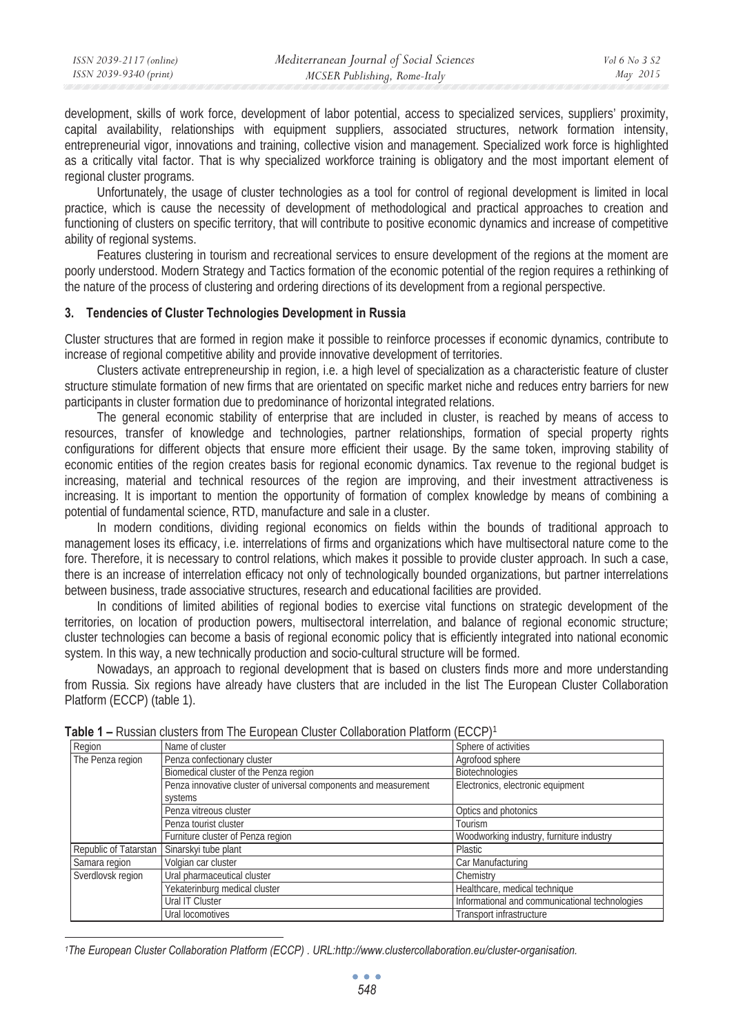development, skills of work force, development of labor potential, access to specialized services, suppliers' proximity, capital availability, relationships with equipment suppliers, associated structures, network formation intensity, entrepreneurial vigor, innovations and training, collective vision and management. Specialized work force is highlighted as a critically vital factor. That is why specialized workforce training is obligatory and the most important element of regional cluster programs.

Unfortunately, the usage of cluster technologies as a tool for control of regional development is limited in local practice, which is cause the necessity of development of methodological and practical approaches to creation and functioning of clusters on specific territory, that will contribute to positive economic dynamics and increase of competitive ability of regional systems.

Features clustering in tourism and recreational services to ensure development of the regions at the moment are poorly understood. Modern Strategy and Tactics formation of the economic potential of the region requires a rethinking of the nature of the process of clustering and ordering directions of its development from a regional perspective.

## **3. Tendencies of Cluster Technologies Development in Russia**

Cluster structures that are formed in region make it possible to reinforce processes if economic dynamics, contribute to increase of regional competitive ability and provide innovative development of territories.

Clusters activate entrepreneurship in region, i.e. a high level of specialization as a characteristic feature of cluster structure stimulate formation of new firms that are orientated on specific market niche and reduces entry barriers for new participants in cluster formation due to predominance of horizontal integrated relations.

The general economic stability of enterprise that are included in cluster, is reached by means of access to resources, transfer of knowledge and technologies, partner relationships, formation of special property rights configurations for different objects that ensure more efficient their usage. By the same token, improving stability of economic entities of the region creates basis for regional economic dynamics. Tax revenue to the regional budget is increasing, material and technical resources of the region are improving, and their investment attractiveness is increasing. It is important to mention the opportunity of formation of complex knowledge by means of combining a potential of fundamental science, RTD, manufacture and sale in a cluster.

In modern conditions, dividing regional economics on fields within the bounds of traditional approach to management loses its efficacy, i.e. interrelations of firms and organizations which have multisectoral nature come to the fore. Therefore, it is necessary to control relations, which makes it possible to provide cluster approach. In such a case, there is an increase of interrelation efficacy not only of technologically bounded organizations, but partner interrelations between business, trade associative structures, research and educational facilities are provided.

In conditions of limited abilities of regional bodies to exercise vital functions on strategic development of the territories, on location of production powers, multisectoral interrelation, and balance of regional economic structure; cluster technologies can become a basis of regional economic policy that is efficiently integrated into national economic system. In this way, a new technically production and socio-cultural structure will be formed.

Nowadays, an approach to regional development that is based on clusters finds more and more understanding from Russia. Six regions have already have clusters that are included in the list The European Cluster Collaboration Platform (ECCP) (table 1).

| Region                | Name of cluster                                                  | Sphere of activities                           |  |  |
|-----------------------|------------------------------------------------------------------|------------------------------------------------|--|--|
| The Penza region      | Penza confectionary cluster                                      | Agrofood sphere                                |  |  |
|                       | Biomedical cluster of the Penza region                           | Biotechnologies                                |  |  |
|                       | Penza innovative cluster of universal components and measurement | Electronics, electronic equipment              |  |  |
|                       | systems                                                          |                                                |  |  |
|                       | Penza vitreous cluster                                           | Optics and photonics                           |  |  |
|                       | Penza tourist cluster                                            | Tourism                                        |  |  |
|                       | Furniture cluster of Penza region                                | Woodworking industry, furniture industry       |  |  |
| Republic of Tatarstan | Sinarskyi tube plant                                             | Plastic                                        |  |  |
| Samara region         | Volgian car cluster                                              | Car Manufacturing                              |  |  |
| Sverdlovsk region     | Ural pharmaceutical cluster                                      | Chemistry                                      |  |  |
|                       | Yekaterinburg medical cluster                                    | Healthcare, medical technique                  |  |  |
|                       | Ural IT Cluster                                                  | Informational and communicational technologies |  |  |
|                       | Ural locomotives                                                 | Transport infrastructure                       |  |  |

**Table 1 –** Russian clusters from The European Cluster Collaboration Platform (ECCP)<sup>1</sup>

*<sup>1</sup>The European Cluster Collaboration Platform (ECCP) . URL:http://www.clustercollaboration.eu/cluster-organisation.*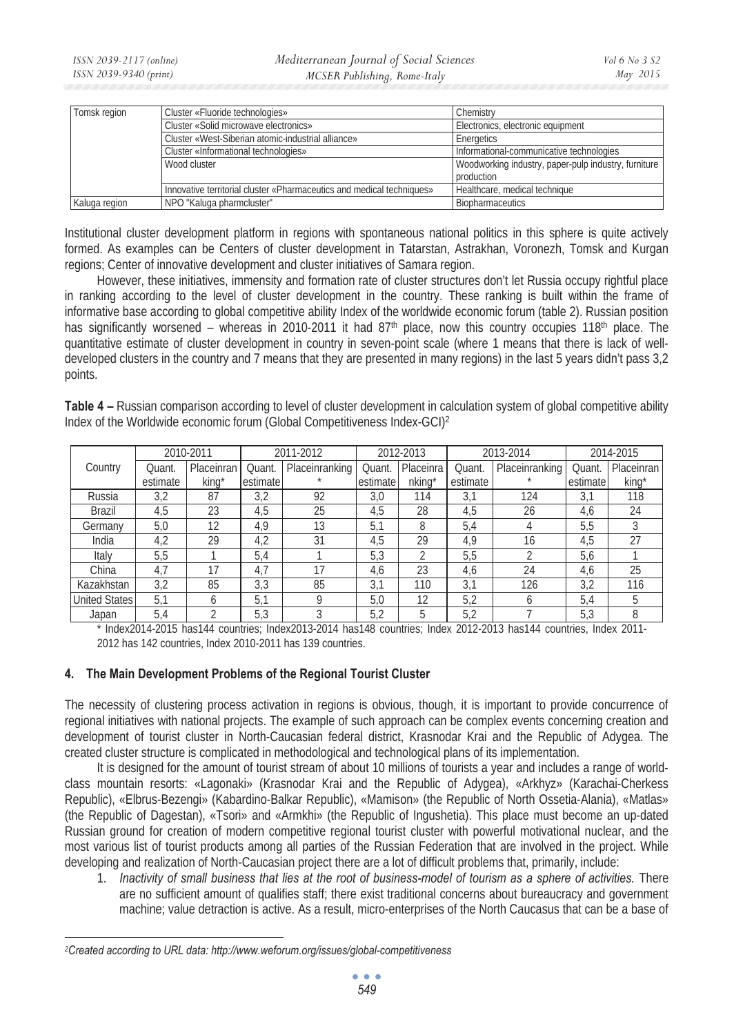| Tomsk region  | Cluster «Fluoride technologies»                                       | Chemistry                                            |  |  |
|---------------|-----------------------------------------------------------------------|------------------------------------------------------|--|--|
|               | Cluster «Solid microwave electronics»                                 | Electronics, electronic equipment                    |  |  |
|               | Cluster «West-Siberian atomic-industrial alliance»                    | Energetics                                           |  |  |
|               | Cluster «Informational technologies»                                  | Informational-communicative technologies             |  |  |
|               | Wood cluster                                                          | Woodworking industry, paper-pulp industry, furniture |  |  |
|               |                                                                       | production                                           |  |  |
|               | Innovative territorial cluster «Pharmaceutics and medical techniques» | Healthcare, medical technique                        |  |  |
| Kaluga region | NPO "Kaluga pharmcluster"                                             | Biopharmaceutics                                     |  |  |

Institutional cluster development platform in regions with spontaneous national politics in this sphere is quite actively formed. As examples can be Centers of cluster development in Tatarstan, Astrakhan, Voronezh, Tomsk and Kurgan regions; Center of innovative development and cluster initiatives of Samara region.

However, these initiatives, immensity and formation rate of cluster structures don't let Russia occupy rightful place in ranking according to the level of cluster development in the country. These ranking is built within the frame of informative base according to global competitive ability Index of the worldwide economic forum (table 2). Russian position has significantly worsened – whereas in 2010-2011 it had 87<sup>th</sup> place, now this country occupies 118<sup>th</sup> place. The quantitative estimate of cluster development in country in seven-point scale (where 1 means that there is lack of welldeveloped clusters in the country and 7 means that they are presented in many regions) in the last 5 years didn't pass 3,2 points.

**Table 4 –** Russian comparison according to level of cluster development in calculation system of global competitive ability Index of the Worldwide economic forum (Global Competitiveness Index-GCI)2

| 2010-2011     |          |                   |          | 2011-2012      |          | 2012-2013      |          | 2013-2014      |          | 2014-2015  |
|---------------|----------|-------------------|----------|----------------|----------|----------------|----------|----------------|----------|------------|
| Country       | Quant.   | Placeinran        | Quant.   | Placeinranking | Quant.   | Placeinra      | Quant    | Placeinranking | Quant.   | Placeinran |
|               | estimate | kina <sup>*</sup> | estimate |                | estimate | nking*         | estimate |                | estimate | king*      |
| Russia        | 3,2      | 87                | 3,2      | 92             | 3.0      | 114            | 3,1      | 124            | 3.1      | 118        |
| <b>Brazil</b> | 4,5      | 23                | 4,5      | 25             | 4,5      | 28             | 4,5      | 26             | 4,6      | 24         |
| Germany       | 5,0      | 12                | 4,9      | 13             | 5.1      | 8              | 5,4      | 4              | 5,5      |            |
| India         | 4,2      | 29                | 4,2      | 31             | 4,5      | 29             | 4,9      | 16             | 4,5      | 27         |
| Italy         | 5,5      |                   | 5,4      |                | 5,3      | $\mathfrak{D}$ | 5,5      |                | 5,6      |            |
| China         | 4.7      | 17                | 4,7      | 17             | 4,6      | 23             | 4,6      | 24             | 4,6      | 25         |
| Kazakhstan    | 3,2      | 85                | 3,3      | 85             | 3.1      | 110            | 3.1      | 126            | 3,2      | 116        |
| United States | 5.1      | 6                 | 5,1      | O              | 5,0      | 12             | 5,2      | <sub>6</sub>   | 5,4      | 5          |
| Japan         | 5,4      |                   | 5,3      |                | 5,2      | 5              | 5,2      |                | 5,3      | 8          |

\* Index2014-2015 has144 countries; Index2013-2014 has148 countries; Index 2012-2013 has144 countries, Index 2011- 2012 has 142 countries, Index 2010-2011 has 139 countries.

# **4. The Main Development Problems of the Regional Tourist Cluster**

The necessity of clustering process activation in regions is obvious, though, it is important to provide concurrence of regional initiatives with national projects. The example of such approach can be complex events concerning creation and development of tourist cluster in North-Caucasian federal district, Krasnodar Krai and the Republic of Adygea. The created cluster structure is complicated in methodological and technological plans of its implementation.

It is designed for the amount of tourist stream of about 10 millions of tourists a year and includes a range of worldclass mountain resorts: «Lagonaki» (Krasnodar Krai and the Republic of Adygea), «Arkhyz» (Karachai-Cherkess Republic), «Elbrus-Bezengi» (Kabardino-Balkar Republic), «Mamison» (the Republic of North Ossetia-Alania), «Matlas» (the Republic of Dagestan), «Tsori» and «Armkhi» (the Republic of Ingushetia). This place must become an up-dated Russian ground for creation of modern competitive regional tourist cluster with powerful motivational nuclear, and the most various list of tourist products among all parties of the Russian Federation that are involved in the project. While developing and realization of North-Caucasian project there are a lot of difficult problems that, primarily, include:

1. *Inactivity of small business that lies at the root of business-model of tourism as a sphere of activities.* There are no sufficient amount of qualifies staff; there exist traditional concerns about bureaucracy and government machine; value detraction is active. As a result, micro-enterprises of the North Caucasus that can be a base of

*<sup>2</sup>Created according to URL data: http://www.weforum.org/issues/global-competitiveness*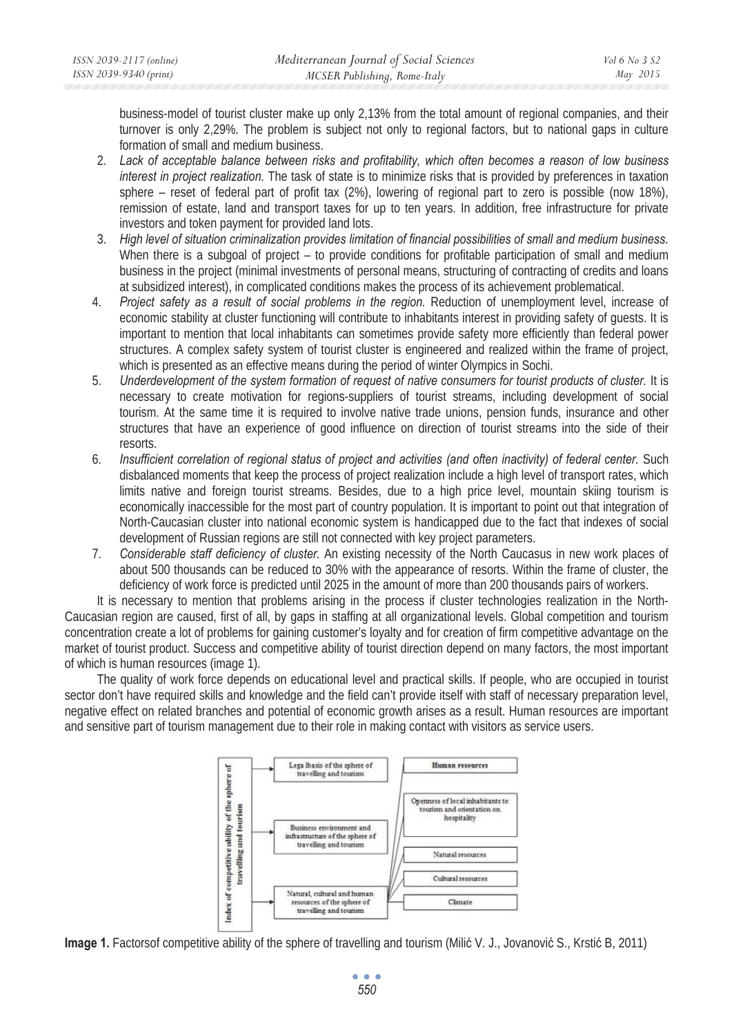business-model of tourist cluster make up only 2,13% from the total amount of regional companies, and their turnover is only 2,29%. The problem is subject not only to regional factors, but to national gaps in culture formation of small and medium business.

- 2. *Lack of acceptable balance between risks and profitability, which often becomes a reason of low business interest in project realization.* The task of state is to minimize risks that is provided by preferences in taxation sphere – reset of federal part of profit tax (2%), lowering of regional part to zero is possible (now 18%), remission of estate, land and transport taxes for up to ten years. In addition, free infrastructure for private investors and token payment for provided land lots.
- 3. *High level of situation criminalization provides limitation of financial possibilities of small and medium business.* When there is a subgoal of project – to provide conditions for profitable participation of small and medium business in the project (minimal investments of personal means, structuring of contracting of credits and loans at subsidized interest), in complicated conditions makes the process of its achievement problematical.
- 4. *Project safety as a result of social problems in the region.* Reduction of unemployment level, increase of economic stability at cluster functioning will contribute to inhabitants interest in providing safety of guests. It is important to mention that local inhabitants can sometimes provide safety more efficiently than federal power structures. A complex safety system of tourist cluster is engineered and realized within the frame of project, which is presented as an effective means during the period of winter Olympics in Sochi.
- 5. *Underdevelopment of the system formation of request of native consumers for tourist products of cluster.* It is necessary to create motivation for regions-suppliers of tourist streams, including development of social tourism. At the same time it is required to involve native trade unions, pension funds, insurance and other structures that have an experience of good influence on direction of tourist streams into the side of their resorts.
- 6. *Insufficient correlation of regional status of project and activities (and often inactivity) of federal center.* Such disbalanced moments that keep the process of project realization include a high level of transport rates, which limits native and foreign tourist streams. Besides, due to a high price level, mountain skiing tourism is economically inaccessible for the most part of country population. It is important to point out that integration of North-Caucasian cluster into national economic system is handicapped due to the fact that indexes of social development of Russian regions are still not connected with key project parameters.
- 7. *Considerable staff deficiency of cluster.* An existing necessity of the North Caucasus in new work places of about 500 thousands can be reduced to 30% with the appearance of resorts. Within the frame of cluster, the deficiency of work force is predicted until 2025 in the amount of more than 200 thousands pairs of workers.

It is necessary to mention that problems arising in the process if cluster technologies realization in the North-Caucasian region are caused, first of all, by gaps in staffing at all organizational levels. Global competition and tourism concentration create a lot of problems for gaining customer's loyalty and for creation of firm competitive advantage on the market of tourist product. Success and competitive ability of tourist direction depend on many factors, the most important of which is human resources (image 1).

The quality of work force depends on educational level and practical skills. If people, who are occupied in tourist sector don't have required skills and knowledge and the field can't provide itself with staff of necessary preparation level, negative effect on related branches and potential of economic growth arises as a result. Human resources are important and sensitive part of tourism management due to their role in making contact with visitors as service users.



**Image 1.** Factorsof competitive ability of the sphere of travelling and tourism (Milić V. J., Jovanović S., Krstić B, 2011)

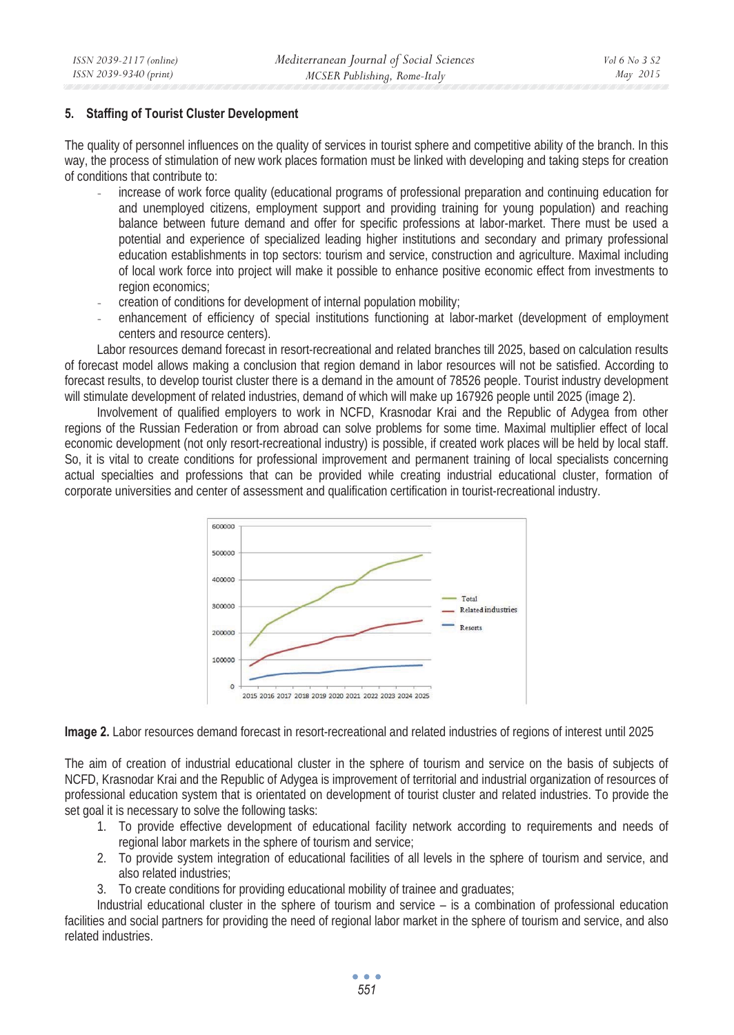## **5. Staffing of Tourist Cluster Development**

The quality of personnel influences on the quality of services in tourist sphere and competitive ability of the branch. In this way, the process of stimulation of new work places formation must be linked with developing and taking steps for creation of conditions that contribute to:

- increase of work force quality (educational programs of professional preparation and continuing education for and unemployed citizens, employment support and providing training for young population) and reaching balance between future demand and offer for specific professions at labor-market. There must be used a potential and experience of specialized leading higher institutions and secondary and primary professional education establishments in top sectors: tourism and service, construction and agriculture. Maximal including of local work force into project will make it possible to enhance positive economic effect from investments to region economics;
- creation of conditions for development of internal population mobility;
- enhancement of efficiency of special institutions functioning at labor-market (development of employment centers and resource centers).

Labor resources demand forecast in resort-recreational and related branches till 2025, based on calculation results of forecast model allows making a conclusion that region demand in labor resources will not be satisfied. According to forecast results, to develop tourist cluster there is a demand in the amount of 78526 people. Tourist industry development will stimulate development of related industries, demand of which will make up 167926 people until 2025 (image 2).

Involvement of qualified employers to work in NCFD, Krasnodar Krai and the Republic of Adygea from other regions of the Russian Federation or from abroad can solve problems for some time. Maximal multiplier effect of local economic development (not only resort-recreational industry) is possible, if created work places will be held by local staff. So, it is vital to create conditions for professional improvement and permanent training of local specialists concerning actual specialties and professions that can be provided while creating industrial educational cluster, formation of corporate universities and center of assessment and qualification certification in tourist-recreational industry.



**Image 2.** Labor resources demand forecast in resort-recreational and related industries of regions of interest until 2025

The aim of creation of industrial educational cluster in the sphere of tourism and service on the basis of subjects of NCFD, Krasnodar Krai and the Republic of Adygea is improvement of territorial and industrial organization of resources of professional education system that is orientated on development of tourist cluster and related industries. To provide the set goal it is necessary to solve the following tasks:

- 1. To provide effective development of educational facility network according to requirements and needs of regional labor markets in the sphere of tourism and service;
- 2. To provide system integration of educational facilities of all levels in the sphere of tourism and service, and also related industries;
- 3. To create conditions for providing educational mobility of trainee and graduates;

Industrial educational cluster in the sphere of tourism and service – is a combination of professional education facilities and social partners for providing the need of regional labor market in the sphere of tourism and service, and also related industries.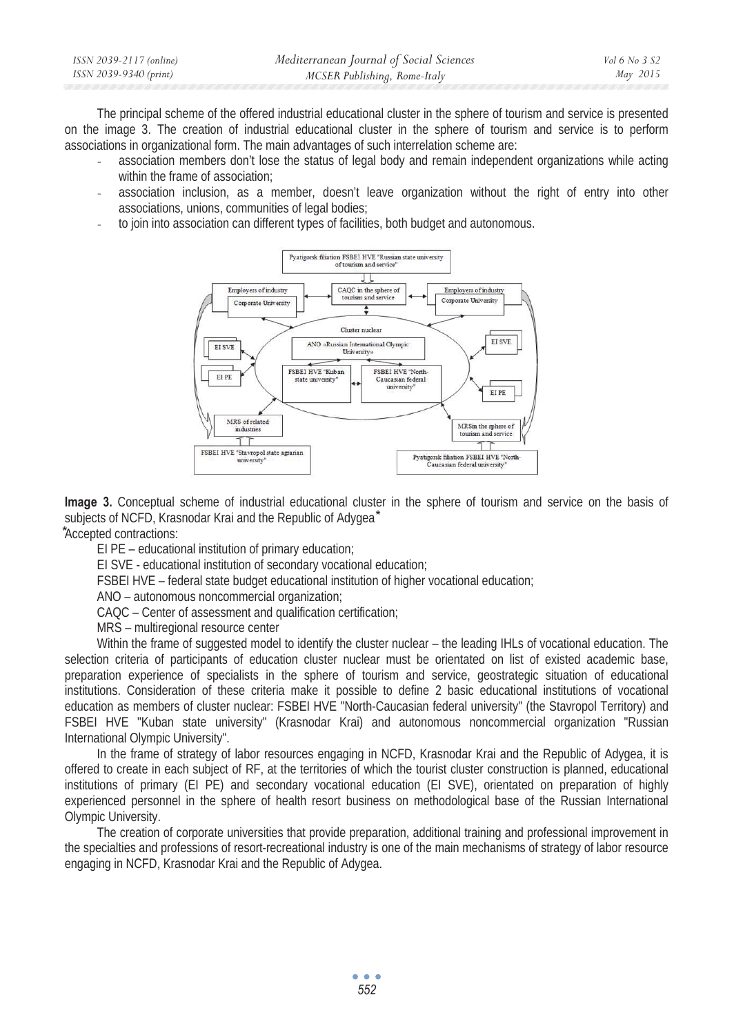| ISSN 2039-2117 (online) | Mediterranean Journal of Social Sciences | Vol 6 No 3 S2 |
|-------------------------|------------------------------------------|---------------|
| ISSN 2039-9340 (print)  | MCSER Publishing, Rome-Italy             | May 2015      |

The principal scheme of the offered industrial educational cluster in the sphere of tourism and service is presented on the image 3. The creation of industrial educational cluster in the sphere of tourism and service is to perform associations in organizational form. The main advantages of such interrelation scheme are:

- association members don't lose the status of legal body and remain independent organizations while acting within the frame of association;
- association inclusion, as a member, doesn't leave organization without the right of entry into other associations, unions, communities of legal bodies;
- to join into association can different types of facilities, both budget and autonomous.



**Image 3.** Conceptual scheme of industrial educational cluster in the sphere of tourism and service on the basis of subjects of NCFD, Krasnodar Krai and the Republic of Advaea\*

ൈAccepted contractions:

EI PE – educational institution of primary education;

EI SVE - educational institution of secondary vocational education;

FSBEI HVE – federal state budget educational institution of higher vocational education;

ANO – autonomous noncommercial organization;

CAQC – Center of assessment and qualification certification;

MRS – multiregional resource center

Within the frame of suggested model to identify the cluster nuclear – the leading IHLs of vocational education. The selection criteria of participants of education cluster nuclear must be orientated on list of existed academic base, preparation experience of specialists in the sphere of tourism and service, geostrategic situation of educational institutions. Consideration of these criteria make it possible to define 2 basic educational institutions of vocational education as members of cluster nuclear: FSBEI HVE "North-Caucasian federal university" (the Stavropol Territory) and FSBEI HVE "Kuban state university" (Krasnodar Krai) and autonomous noncommercial organization "Russian International Olympic University".

In the frame of strategy of labor resources engaging in NCFD, Krasnodar Krai and the Republic of Adygea, it is offered to create in each subject of RF, at the territories of which the tourist cluster construction is planned, educational institutions of primary (EI PE) and secondary vocational education (EI SVE), orientated on preparation of highly experienced personnel in the sphere of health resort business on methodological base of the Russian International Olympic University.

The creation of corporate universities that provide preparation, additional training and professional improvement in the specialties and professions of resort-recreational industry is one of the main mechanisms of strategy of labor resource engaging in NCFD, Krasnodar Krai and the Republic of Adygea.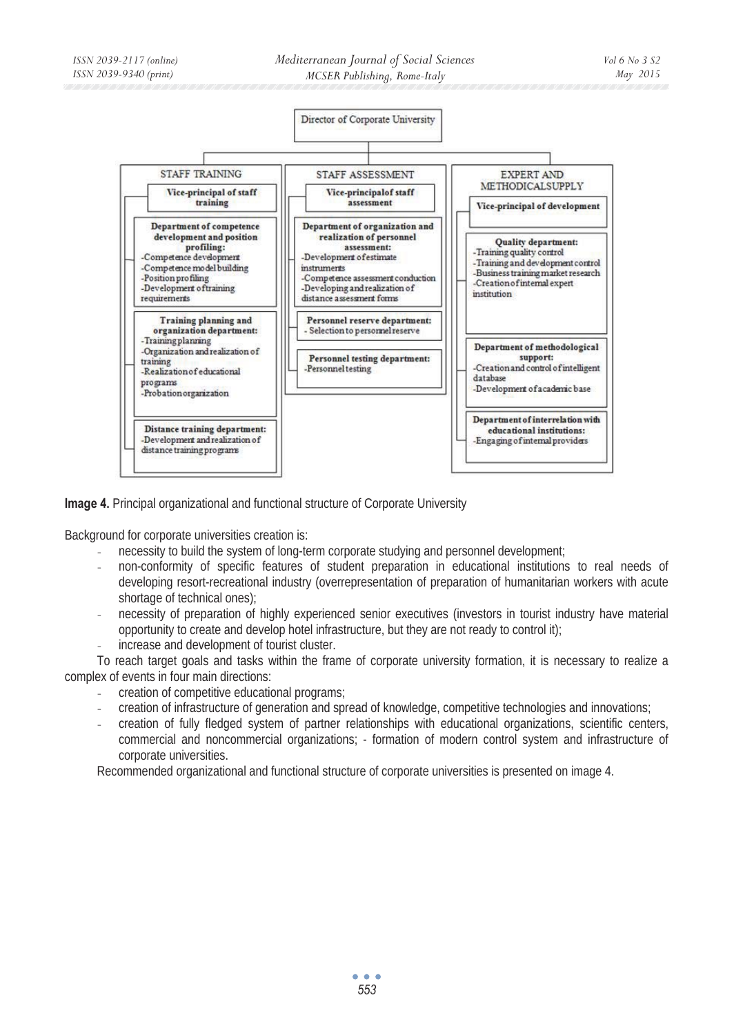

**Image 4.** Principal organizational and functional structure of Corporate University

Background for corporate universities creation is:

- necessity to build the system of long-term corporate studying and personnel development;
- non-conformity of specific features of student preparation in educational institutions to real needs of developing resort-recreational industry (overrepresentation of preparation of humanitarian workers with acute shortage of technical ones);
- necessity of preparation of highly experienced senior executives (investors in tourist industry have material opportunity to create and develop hotel infrastructure, but they are not ready to control it); increase and development of tourist cluster.

To reach target goals and tasks within the frame of corporate university formation, it is necessary to realize a complex of events in four main directions:

- creation of competitive educational programs;
- creation of infrastructure of generation and spread of knowledge, competitive technologies and innovations;
- creation of fully fledged system of partner relationships with educational organizations, scientific centers, commercial and noncommercial organizations; - formation of modern control system and infrastructure of corporate universities.

Recommended organizational and functional structure of corporate universities is presented on image 4.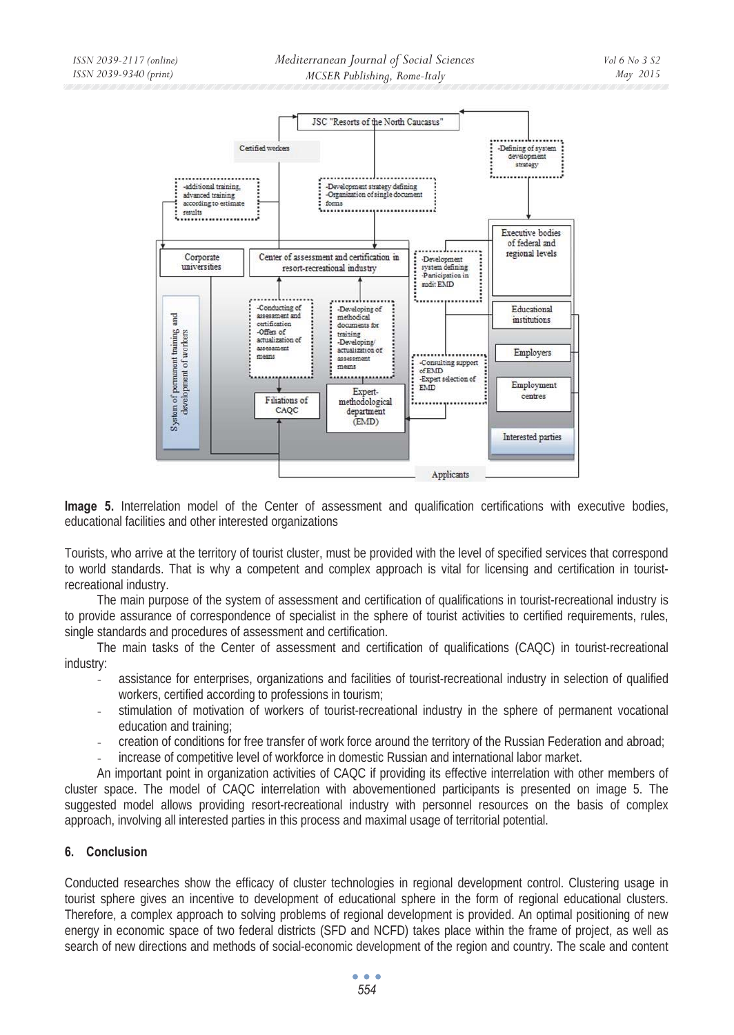

**Image 5.** Interrelation model of the Center of assessment and qualification certifications with executive bodies, educational facilities and other interested organizations

Tourists, who arrive at the territory of tourist cluster, must be provided with the level of specified services that correspond to world standards. That is why a competent and complex approach is vital for licensing and certification in touristrecreational industry.

The main purpose of the system of assessment and certification of qualifications in tourist-recreational industry is to provide assurance of correspondence of specialist in the sphere of tourist activities to certified requirements, rules, single standards and procedures of assessment and certification.

The main tasks of the Center of assessment and certification of qualifications (CAQC) in tourist-recreational industry:

- assistance for enterprises, organizations and facilities of tourist-recreational industry in selection of qualified workers, certified according to professions in tourism;
- stimulation of motivation of workers of tourist-recreational industry in the sphere of permanent vocational education and training;
- creation of conditions for free transfer of work force around the territory of the Russian Federation and abroad;
- increase of competitive level of workforce in domestic Russian and international labor market.

An important point in organization activities of CAQC if providing its effective interrelation with other members of cluster space. The model of CAQC interrelation with abovementioned participants is presented on image 5. The suggested model allows providing resort-recreational industry with personnel resources on the basis of complex approach, involving all interested parties in this process and maximal usage of territorial potential.

# **6. Conclusion**

Conducted researches show the efficacy of cluster technologies in regional development control. Clustering usage in tourist sphere gives an incentive to development of educational sphere in the form of regional educational clusters. Therefore, a complex approach to solving problems of regional development is provided. An optimal positioning of new energy in economic space of two federal districts (SFD and NCFD) takes place within the frame of project, as well as search of new directions and methods of social-economic development of the region and country. The scale and content